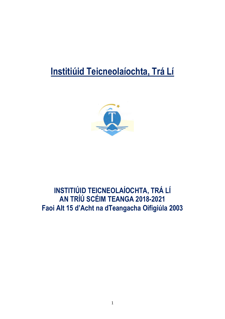# **Institiúid Teicneolaíochta, Trá Lí**



## **INSTITIÚID TEICNEOLAÍOCHTA, TRÁ LÍ AN TRÍÚ SCÉIM TEANGA 2018-2021 Faoi Alt 15 d'Acht na dTeangacha Oifigiúla 2003**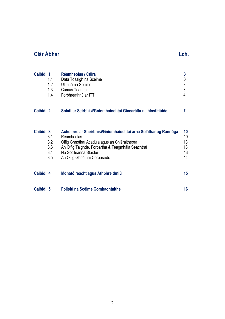## **Clár Ábhar Long Clár Ábhar Long Clár Ábhar Long Clár Ábhar Long Clár Ábhar Long Clár Ábhar Long Clár Abhar Long Clár Abhar Long Clár Abhar Long Clár Abhar Long Clár Abhar Long Clár Abhar Long Clár Abhar Long Clár Abhar Lo**

| <b>Caibidil 1</b> | Réamheolas / Cúlra                                             | 3               |
|-------------------|----------------------------------------------------------------|-----------------|
| 1.1               | Dáta Tosaigh na Scéime                                         | 3               |
| 1.2               | Ullmhú na Scéime                                               | 3               |
| 1.3               | Cumas Teanga                                                   | 3               |
| 1.4               | Forbhreathnú ar ITT                                            | 4               |
| <b>Caibidil 2</b> | Soláthar Seirbhísí/Gníomhaíochtaí Ginearálta na hInstitiúide   |                 |
| <b>Caibidil 3</b> | Achoimre ar Sheirbhísí/Gníomhaíochtaí arna Soláthar ag Rannóga | 10              |
| 3.1               | Réamheolas                                                     | 10 <sup>1</sup> |
| 3.2               | Oifig Ghnóthaí Acadúla agus an Chláraitheora                   | 13              |
| 3.3               | An Oifig Taighde, Forbartha & Teagmhála Seachtraí              | 13              |
| 3.4               | Na Scoileanna Staidéir                                         | 13              |
| 3.5               | An Oifig Ghnóthaí Corparáide                                   | 14              |

| <b>Caibidil 4</b> | Monatóireacht agus Athbhreithniú |  |
|-------------------|----------------------------------|--|
|                   |                                  |  |

**Caibidil 5 Foilsiú na Scéime Comhaontaithe 16**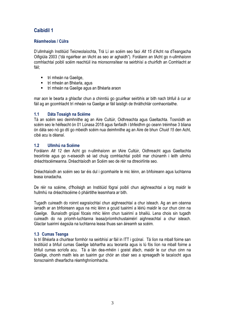### **Réamheolas / Cúlra**

D'ullmhaigh Institiúid Teicneolaíochta, Trá Lí an scéim seo faoi *Alt 15* d'Acht na dTeangacha Oifigiúla 2003 ("dá ngairfear an tAcht as seo ar aghaidh"). Forálann an tAcht go n-ullmhaíonn comhlachtaí poiblí scéim reachtúil ina mionsonraítear na seirbhísí a chuirfidh an Comhlacht ar fáil;

- trí mheán na Gaeilge.
- trí mheán an Bhéarla, agus
- trí mheán na Gaeilge agus an Bhéarla araon

mar aon le bearta a ghlacfar chun a chinntiú go gcuirfear seirbhís ar bith nach bhfuil á cur ar fáil ag an gcomhlacht trí mheán na Gaeilge ar fáil laistigh de thráthchlár comhaontaithe.

### **1.1 Dáta Tosaigh na Scéime**

Tá an scéim seo deimhnithe ag an Aire Cultúir, Oidhreachta agus Gaeltachta. Tosnóidh an scéim seo le héifeacht ón 01 Lúnasa 2018 agus fanfaidh i bhfeidhm go ceann tréimhse 3 bliana ón dáta seo nó go dtí go mbeidh scéim nua deimhnithe ag an Aire de bhun *Chuid 15* den Acht, cibé acu is déanaí.

### **1.2 Ullmhú na Scéime**

Forálann *Alt 12* den Acht go n-ullmhaíonn an tAire Cultúir, Oidhreacht agus Gaeltachta treoirlínte agus go n-eiseoidh sé iad chuig comhlachtaí poiblí mar chúnamh i leith ullmhú dréachtscéimeanna. Dréachtaíodh an Scéim seo de réir na dtreoirlínte seo.

Dréachtaíodh an scéim seo tar éis dul i gcomhairle le mic léinn, an bhfoireann agus luchtanna leasa ionadacha.

De réir na scéime, d'fhoilsigh an Institiúid fógraí poiblí chun aighneachtaí a lorg maidir le hullmhú na dréachtscéime ó pháirtithe leasmhara ar bith.

Tugadh cuireadh do roinnt eagraíochtaí chun aighneachtaí a chur isteach. Ag an am céanna iarradh ar an bhfoireann agus na mic léinn a gcuid tuairimí a léiriú maidir le cur chun cinn na Gaeilge. Bunaíodh grúpaí fócais mhic léinn chun tuairimí a bhailiú. Lena chois sin tugadh cuireadh do na príomh-luchtanna leasa/príomhchustaiméirí aighneachtaí a chur isteach. Glactar tuairimí éagsúla na luchtanna leasa thuas san áireamh sa scéim.

### **1.3 Cumas Teanga**

Is trí Bhéarla a chuirtear formhór na seirbhísí ar fáil in ITT i gcónaí. Tá líon na mball foirne san Institiúid a bhfuil cumas Gaeilge labhartha acu teoranta agus is lú fós líon na mball foirne a bhfuil cumas scríofa acu. Tá a lán dea-mhéin i gceist áfach, maidir le cur chun cinn na Gaeilge, chomh maith leis an tuairim gur chóir an obair seo a spreagadh le tacaíocht agus tionscnaimh dhearfacha réamhghníomhacha.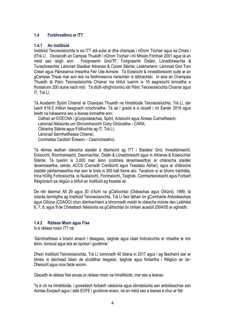### **1.4 Forbhreathnú ar ITT**

### **1.4.1 An Institiúid**

Institiúid Teicneolaíochta is ea ITT atá suite ar dhá champas i nDrom Tóchair agus sa Chlais i dTrá Lí. Osclaíodh an Campas Thuaidh i nDrom Tochair i mí Mheán Fómhair 2001 agus tá an méid seo istigh ann: Foirgneamh Gnó/TF; Foirgneamh Óstáin, Lónadóireachta & Turasóireachta; Lárionad Staidéar Altranais & Cúram Sláinte; Leabharlann; Lárionad Gnó Tom Crean agus Páirceanna Imeartha Féir Uile-Aimsire. Tá Eolaíocht & Innealtóireacht suite ar an gCampas Theas mar aon leis na feidhmeanna riaracháin is tábhachtaí. In aice an Champais Thuaidh tá Páirc Teicneolaíochta Chiarraí ina bhfuil tuairim is 16 eagraíocht lonnaithe a fhostaíonn 200 duine nach mór. Tá dlúth-idirghníomhú idir Páirc Teicneolaíochta Chiarraí agus IT, Trá Lí.

Tá Acadamh Spóirt Chiarraí ar Champas Thuaidh na hInstitiúide Teicneolaíochta, Trá Lí, dar luach €16.5 milliún beagnach críochnaithe. Tá sé i gceist é a oscailt i mí Eanáir 2019 agus beidh na háiseanna seo a leanas lonnaithe ann:

Cathair an EOECNA i gCorpoideachas, Spórt, Aclaíocht agus Áineas Cuimsitheach;

Lárionad Náisiúnta um Ghníomhaíocht Coirp Oiriúnaithe - CARA;

Cláracha Sláinte agus Fóillíochta ag IT, Trá Lí;

Lárionad Sármhaitheasa Chiarraí;

Comhaltas Ceoltóirí Éireann – Ceanncheathrú.

Tá réimse leathan cláracha staidéir á dtairiscint ag ITT i Staidéar Gnó, Innealtóireacht, Eolaíocht, Ríomhaireacht, Daonnachtaí, Óstán & Lónadóireacht agus in Altranas & Eolaíochtaí Sláinte. Tá tuairim is 3,000 mac léinn (coibhéis lánaimseartha) ar chláracha staidéir lánaimseartha, ceirde, ACCS (Carnadh Creidiúintí agus Teastasú Ábhar), agus ar chláracha staidéir páirtaimseartha mar aon le breis is 350 ball foirne aici. Tacaíonn sí ar bhonn tráchtála, trína hOifig Forbraíochta, le Nuálaíocht, Fiontraíocht, Taighde, Comhairleoireacht agus Forbairt Réigiúnach sa réigiún a bhfuil an Institiúid ag freastal air.

De réir téarmaí Alt 29 agus 30 d'Acht na gCáilíochtaí (Oideachas agus Oiliúint), 1999, tá údarás tarmligthe ag Institiúid Teicneolaíochta, Trá Lí faoi láthair ón gComhairle Ardoideachais agus Oiliúna (CDAOO) chun dámhachtainí a bhronnadh maidir le cláracha múinte den Leibhéal 6, 7, 8, agus 9 de Chreatlach Náisiúnta na gCáilíochtaí ón bhliain acadúil 2004/05 ar aghaidh.

### **1.4.2 Ráiteas Misin agus Físe**

Is é ráiteas misin ITT ná:

'Sármhaitheas a bhaint amach i dteagasc, taighde agus obair forbraíochta ar mhaithe le mic léinn, tionscal agus leis an bpobal i gcoitinne.'

Dhein Institiúid Teicneolaíochta, Trá Lí comóradh 40 bliana in 2017 agus í ag féachaint siar ar bhreis is daichead bliain de sholáthar teagaisc, taighde agus forbartha i Réigiún an Iar-Dheiscirt agus níos faide anonn.

Glacadh le ráiteas físe anuas ar ráiteas misin na hInstitiúide, mar seo a leanas:

"Is é ról na hInstitiúide, i gcreatlach forbairtí náisiúnta agus idirnáisiúnta san ardoideachas san Aontas Eorpach agus i stáit ECFE i gcoitinne araon, ná an méid seo a leanas a chur ar fáil: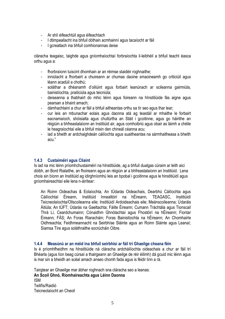- Ar shlí éifeachtúil agus éifeachtach
- I dtimpeallacht ina bhfuil dóthain acmhainní agus tacaíocht ar fáil
- I gcreatlach ina bhfuil comhionannas deise

cláracha teagaisc, taighde agus gníomhaíochtaí forbraíochta il-leibhéil a bhfuil teacht éasca orthu agus a:

- fhorbraíonn tuiscint dhomhain ar an réimse staidéir roghnaithe;
- inniúlacht a fhorbairt a chuireann ar chumas daoine smaoineamh go criticiúil agus léann acadúil a chothú;
- soláthar a dhéanamh d'oiliúint agus forbairt leanúnach ar scileanna gairmiúla, bainistíochta, praiticiúla agus teicniúla;
- deiseanna a thabhairt do mhic léinn agus foireann na hInstitiúide fás aigne agus pearsan a bhaint amach;
- dámhachtainí a chur ar fáil a bhfuil aitheantas orthu sa tír seo agus thar lear;
- cur leis an mbunachar eolais agus daonna atá ag teastáil ar mhaithe le forbairt eacnamaíoch, shóisialta agus chultúrtha an Stáit i gcoitinne, agus go háirithe an réigiúin a bhfreastalaíonn an Institiúid air, agus comhoibriú agus obair as láimh a chéile le heagraíochtaí eile a bhfuil misin den chineál céanna acu;
- iad a bheith ar ardchaighdeán cáilíochta agus suaitheantas na sármhaitheasa a bheith acu."

### **1.4.3 Custaiméirí agus Cliaint**

Is iad na mic léinn príomhchustaiméirí na hInstitiúide, ag a bhfuil dualgas cúraim ar leith aici dóibh, an Bord Rialaithe, an fhoireann agus an réigiún ar a bhfreastalaíonn an Institiúid. Lena chois sin bíonn an Institiúid ag idirghníomhú leis an bpobal i gcoitinne agus le hinstitiúidí agus gníomhaireachtaí eile lena n-áirítear:

An Roinn Oideachas & Eolaíochta, An tÚdarás Oideachais, Dearbhú Cáilíochta agus Cáilíochtaí Éireann, Institiúid Innealtóirí na hÉireann, TEAGASC, Institiúidí Teicneolaíochta/Ollscoileanna eile; Institiúidí Ardoideachais eile; Meánscoileanna; Údaráis Áitiúla; An tÚFT; Údarás na Gaeltachta; Fáilte Éireann; Cumann Tráchtála agus Tionscail Thrá Lí, Ceardchumainn; Cónaidhm Ghnólachtaí agus Fhostóirí na hÉireann; Fiontar Éireann; FÁS; An Foras Riaracháin; Foras Bainistíochta na hÉireann; An Chomhairle Oidhreachta; Feidhmeannacht na Seirbhíse Sláinte agus an Roinn Sláinte agus Leanaí; Siamsa Tíre agus soláthraithe socrúcháin Oibre.

### **1.4.4 Measúnú ar an méid ina bhfuil seirbhísí ar fáil trí Ghaeilge cheana féin**

Is é príomhfheidhm na hInstitiúide ná cláracha ardcháilíochta oideachais a chur ar fáil trí Bhéarla (agus líon beag cúrsaí a thairgeann an Ghaeilge de réir éilimh) dá gcuid mic léinn agus is mar sin a bheidh an scéal amach anseo chomh fada agus is féidir linn a rá.

Tairgtear an Ghaeilge mar ábhar roghnach sna cláracha seo a leanas: **An Scoil Ghnó, Ríomhaireachta agus Léinn Daonna** ISM Teilifís/Raidió Teicneolaíocht an Cheoil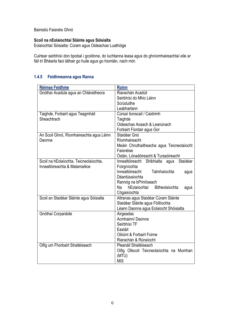Bainistiú Faisnéis Ghnó

### **Scoil na nEolaíochtaí Sláinte agus Sóisialta**

Eolaíochtaí Sóisialta: Cúram agus Oideachas Luathóige

Cuirtear seirbhísí don bpobal i gcoitinne, do luchtanna leasa agus do ghníomhaireachtaí eile ar fáil trí Bhéarla faoi láthair go huile agus go hiomlán, nach mór.

### **1.4.5 Feidhmeanna agus Ranna**

| Réimse Feidhme                           | Roinn                                             |  |
|------------------------------------------|---------------------------------------------------|--|
| Gnóthaí Acadúla agus an Chláraitheora    | Riarachán Acadúil                                 |  |
|                                          | Seirbhísí do Mhic Léinn                           |  |
|                                          | Scrúduithe                                        |  |
|                                          | Leabharlann                                       |  |
| Taighde, Forbairt agus Teagmháil         | Cúrsaí tionscail / Caidrimh                       |  |
| Sheachtrach                              | Taighde                                           |  |
|                                          | Oideachas Aosach & Leanúnach                      |  |
|                                          | Forbairt Fiontair agus Gor                        |  |
| An Scoil Ghnó, Ríomhaireachta agus Léinn | Staidéar Gnó                                      |  |
| Daonna                                   | Ríomhaireacht                                     |  |
|                                          | Meáin Chruthaitheacha agus Teicneolaíocht         |  |
|                                          | Faisnéise                                         |  |
|                                          | Óstán, Lónadóireacht & Turasóireacht              |  |
| Scoil na hEolaíochta, Teicneolaíochta,   | Shibhialta<br>Staidéar<br>Innealtóireacht<br>agus |  |
| Innealtóireachta & Matamaitice           | Foirgníochta                                      |  |
|                                          | Innealtóireacht<br>Talmhaíochta<br>agus           |  |
|                                          | Déantúsaíochta                                    |  |
|                                          | Rannóg na bPrintíseach                            |  |
|                                          | Na<br>hEolaíochtaí<br>Bitheolaíochta<br>agus      |  |
|                                          | Cógaisíochta                                      |  |
| Scoil an Staidéar Sláinte agus Sóisialta | Altranas agus Staidéar Cúram Sláinte              |  |
|                                          | Staidéar Sláinte agus Fóillíochta                 |  |
|                                          | Léann Daonna agus Eolaíocht Shóisialta            |  |
| Gnóthaí Corparáide                       | Airgeadas                                         |  |
|                                          | Acmhainní Daonna                                  |  |
|                                          | Seirbhísí TF                                      |  |
|                                          | Eastáit                                           |  |
|                                          | Oiliúint & Forbairt Foirne                        |  |
|                                          | Riarachán & Rúnaíocht                             |  |
| Oifig um Fhorbairt Straitéiseach         | Pleanáil Straitéiseach                            |  |
|                                          | Oifig Ollscoil Teicneolaíochta na Mumhan          |  |
|                                          | (MTU)                                             |  |
|                                          | <b>MIS</b>                                        |  |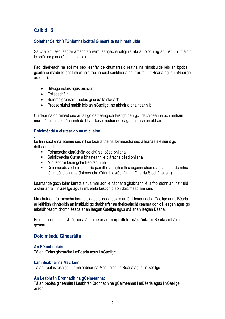### **Soláthar Seirbhísí/Gníomhaíochtaí Ginearálta na hInstitiúide**

Sa chaibidil seo leagtar amach an réim teangacha oifigiúla atá á hoibriú ag an Institiúid maidir le soláthar ginearálta a cuid seirbhísí.

Faoi dheireadh na scéime seo leanfar de chumarsáid reatha na hInstitiúide leis an bpobal i gcoitinne maidir le gnáthfhaisnéis faoina cuid seirbhísí a chur ar fáil i mBéarla agus i nGaeilge araon trí:

- Bileoga eolais agus bróisiúir
- **•** Foilseacháin

.

- Suíomh gréasáin eolas ginearálta stadach
- Preaseisiúintí maidir leis an nGaeilge, nó ábhair a bhaineann léi

Cuirfear na doiciméid seo ar fáil go dátheangach laistigh den gclúdach céanna ach amháin mura féidir sin a dhéanamh de bharr toise, nádúir nó leagan amach an ábhair.

### **Doiciméadú a eisítear do na mic léinn**

Le linn saolré na scéime seo níl sé beartaithe na foirmeacha seo a leanas a eisiúint go dátheangach:

- Foirmeacha clárúcháin do chúrsaí céad bhliana
- Sainlitreacha Cúrsa a bhaineann le cláracha céad bhliana
- **Mionsonraí faoin gclár treoirshuímh**
- Doiciméadú a chuireann tríú páirtithe ar aghaidh chugainn chun é a thabhairt do mhic léinn céad bhliana (foirmeacha Grinnfhiosrúcháin an Gharda Síochána, srl.)

Leanfar de gach foirm iarratais nua mar aon le hábhar a ghabhann léi a fhoilsíonn an Institiúid a chur ar fáil i nGaeilge agus i mBéarla laistigh d'aon doiciméad amháin.

Má chuirtear foirmeacha iarratais agus bileoga eolais ar fáil i leaganacha Gaeilge agus Béarla ar leithligh cinnteoidh an Institiúid go dtabharfar an fheiceálacht céanna don dá leagan agus go mbeidh teacht chomh éasca ar an leagan Gaeilge agus atá ar an leagan Béarla.

Beidh bileoga eolais/bróisiúir atá dírithe ar an **margadh Idirnáisiúnta** i mBéarla amháin i gcónaí.

### **Doiciméadú Ginearálta**

### **An Réamheolaire**

Tá an tEolas ginearálta i mBéarla agus i nGaeilge.

### **Lámhleabhar na Mac Léinn**

Tá an t-eolas tosaigh i Lámhleabhar na Mac Léinn i mBéarla agus i nGaeilge.

### **An Leabhrán Bronnadh na gCéimeanna:**

Tá an t-eolas ginearálta i Leabhrán Bronnadh na gCéimeanna i mBéarla agus i nGaeilge araon.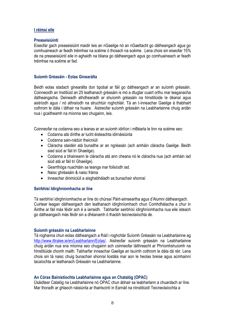### **I réimsí eile**

### **Preaseisiúintí**

Eiseofar gach preaseisiúint maidir leis an nGaeilge nó an nGaeltacht go dátheangach agus go comhuaineach ar feadh tréimhse na scéime ó thosach na scéime. Lena chois sin eiseofar 15% de na preaseisiúintí eile in aghaidh na bliana go dátheangach agus go comhuaineach ar feadh tréimhse na scéime ar fad.

### **Suíomh Gréasáin - Eolas Ginearálta**

Beidh eolas stadach ginearálta don bpobal ar fáil go dátheangach ar an suíomh gréasáin. Coinneoidh an Institiúid an 25 leathanach gréasáin is mó a dtugtar cuairt orthu mar leaganacha dátheangacha. Deineadh athdhearadh ar shuíomh gréasáin na hInstitiúide le déanaí agus aistríodh agus / nó athraíodh na struchtúir roghchláir. Tá an t-inneachar Gaeilge á thabhairt cothrom le dáta i láthair na huaire. Aistreofar suíomh gréasáin na Leabharlainne chuig ardán nua i gcaitheamh na míonna seo chugainn, leis.

Coinneofar na codanna seo a leanas ar an suíomh idirlíon i mBéarla le linn na scéime seo:

- Codanna atá dírithe ar lucht éisteachta idirnáisiúnta
- Codanna sain-nádúir theicniúil
- Cláracha staidéir atá bunaithe ar an ngréasán (ach amháin cláracha Gaeilge. Beidh siad siúd ar fáil trí Ghaeilge).
- Codanna a bhaineann le cláracha atá ann cheana nó le cláracha nua (ach amháin iad siúd atá ar fáil trí Ghaeilge).
- Gearrthóga nuachtáin sa teanga inar foilsíodh iad.
- Naisc ghréasáin & naisc fráma
- Inneachar dinimiciúil a aisghabháladh as bunachair shonraí

### **Seirbhísí Idirghníomhacha ar líne**

Tá seirbhísí idirghníomhacha ar líne do chúrsaí Páirt-aimseartha agus d'Alumni dátheangach. Cuirtear leagan dátheangach den leathanach idirghníomhach chun Comhdhálacha a chur in Áirithe ar fáil más féidir ach é a iarraidh. Tabharfar seirbhísí idirghníomhacha nua eile isteach go dátheangach más féidir sin a dhéanamh ó thaobh teicneolaíochta de.

### **Suíomh gréasáin na Leabharlainne**

Tá roghanna chun eolas dátheangach a fháil i roghchlár Suíomh Gréasáin na Leabharlainne ag [http://www.ittralee.ie/en/Leabharlann/Eolas/.](http://www.ittralee.ie/en/Leabharlann/Eolas/) Aistreofar suíomh gréasáin na Leabharlainne chuig ardán nua sna míonna seo chugainn ach coinneofar láithreacht ar Phríomhshuíomh na hInstitiúide chomh maith. Tabharfar inneachar Gaeilge an tsuímh cothrom le dáta dá réir. Lena chois sin tá naisc chuig bunachair shonraí liostála mar aon le heolas breise agus acmhainní tacaíochta ar leathanach Gréasáin na Leabharlainne.

### **An Córas Bainistíochta Leabharlainne agus an Chatalóg (OPAC)**

Úsáidtear Catalóg na Leabharlainne nó OPAC chun ábhair sa leabharlann a chuardach ar líne. Mar thoradh ar ghlaoch náisiúnta ar thairiscintí in Earnáil na nInstitiúidí Teicneolaíochta a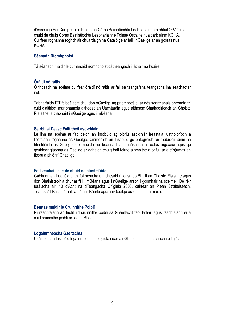d'éascaigh EduCampus, d'athraigh an Córas Bainistíochta Leabharlainne a bhfuil OPAC mar chuid de chuig Córas Bainistíochta Leabharlainne Foinse Oscailte nua darb ainm KOHA. Cuirfear roghanna roghchláir chuardaigh na Catalóige ar fáil i nGaeilge ar an gcóras nua KOHA.

### **Séanadh Ríomhphoist**

Tá séanadh maidir le cumarsáid ríomhphoist dátheangach i láthair na huaire.

### **Óráidí nó ráitis**

Ó thosach na scéime cuirfear óráidí nó ráitis ar fáil sa teanga/sna teangacha ina seachadtar iad.

Tabharfaidh ITT feiceálacht chuí don nGaeilge ag príomhócáidí ar nós searmanais bhronnta trí cuid d'aithisc, mar shampla aitheasc an Uachtaráin agus aitheasc Chathaoirleach an Choiste Rialaithe, a thabhairt i nGaeilge agus i mBéarla.

### **Seirbhísí Deasc Fáiltithe/Lasc-chláir**

Le linn na scéime ar fad beidh an Institiúid ag oibriú lasc-chlár freastalaí uathoibríoch a liostálann roghanna as Gaeilge. Cinnteoidh an Institiúid go bhfógróidh an t-oibreoir ainm na hInstitiúide as Gaeilge, go mbeidh na beannachtaí bunúsacha ar eolas aige/aici agus go gcuirfear glaonna as Gaeilge ar aghaidh chuig ball foirne ainmnithe a bhfuil ar a c(h)umas an fiosrú a phlé trí Ghaeilge.

### **Foilseacháin eile de chuid na hInstitiúide**

Gabhann an Institiúid uirthi foirmeacha um dhearbhú leasa do Bhaill an Choiste Rialaithe agus don Bhainisteoir a chur ar fáil i mBéarla agus i nGaeilge araon i gcomhair na scéime. De réir forálacha ailt 10 d'Acht na dTeangacha Oifigiúla 2003, cuirfear an Plean Straitéiseach, Tuarascáil Bhliantúil srl. ar fáil i mBéarla agus i nGaeilge araon, chomh maith.

### **Beartas maidir le Cruinnithe Poiblí**

Ní reáchtálann an Institiúid cruinnithe poiblí sa Ghaeltacht faoi láthair agus reáchtálann sí a cuid cruinnithe poiblí ar fad trí Bhéarla.

### **Logainmneacha Gaeltachta**

Úsáidfidh an Institiúid logainmneacha oifigiúla ceantair Ghaeltachta chun críocha oifigiúla.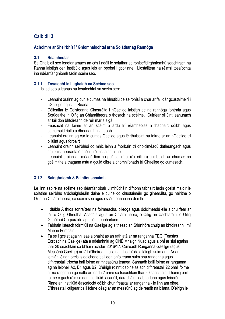### **Achoimre ar Sheirbhísí / Gníomhaíochtaí arna Soláthar ag Rannóga**

### **3.1 Réamheolas**

Sa Chaibidil seo leagtar amach an cás i ndáil le soláthar seirbhíse/idirghníomhú seachtrach na Ranna laistigh den Institiúid agus leis an bpobal i gcoitinne. Liostáiltear na réimsí tosaíochta ina ndéanfar gníomh faoin scéim seo.

### **3.1.1 Tosaíocht le haghaidh na Scéime seo**

Is iad seo a leanas na tosaíochtaí sa scéim seo:

- Leanúint orainn ag cur le cumas na hInstitiúide seirbhísí a chur ar fáil dár gcustaiméirí i nGaeilge agus i mBéarla.
- Déileálfar le Ceisteanna Ginearálta i nGaeilge laistigh de na rannóga Iontrála agus Scrúdaithe in Oifig an Chláraitheora ó thosach na scéime. Cuirfear oiliúint leanúnach ar fáil don bhfoireann de réir mar ais gá.
- Feasacht na foirne ar an scéim a ardú trí réamheolas a thabhairt dóibh agus cumarsáid rialta a dhéanamh ina taobh.
- Leanúint orainn ag cur le cumas Gaeilge agus léirthuiscint na foirne ar an nGaeilge trí oiliúint agus forbairt
- Leanúint orainn seirbhísí do mhic léinn a fhorbairt trí dhoiciméadú dátheangach agus seirbhís theoranta ó bhéal i réimsí ainmnithe.
- Leanúint orainn ag méadú líon na gcúrsaí (faoi réir éilimh) a mbeidh ar chumas na gcéimithe a thagann astu a gcuid oibre a chomhlíonadh trí Ghaeilge go cumasach.

### **3.1.2 Sainghníomh & Saintionscnaimh**

Le linn saolré na scéime seo déanfar obair ullmhúcháin d'fhonn tabhairt faoin gceist maidir le soláthar seirbhís ardchaighdeáin duine e duine do chustaiméirí go ginearálta, go háirithe ó Oifig an Chláraitheora, sa scéim seo agus i scéimeanna ina diaidh.

- I dtábla A thíos sonraítear na foirmeacha, bileoga agus doiciméadú eile a chuirfear ar fáil ó Oifig Ghnóthaí Acadúla agus an Chláraitheora, ó Oifig an Uachtaráin, ó Oifig Ghnóthaí Corparáide agus ón Leabharlann.
- Tabhairt isteach foirmiúil na Gaeilge ag aitheasc an Stiúrthóra chuig an bhfoireann i mí Mheán Fómhair
- Tá sé i gceist againn leas a bhaint as an rath atá ar na ranganna TEG (Teastas Eorpach na Gaeilge) atá á ndeimhniú ag ONÉ Mhaigh Nuad agus a bhí ar siúl againn thar 20 seachtain sa bhliain acadúil 2016/17. Cuireadh Ranganna Gaeilge (agus Measúnú Gaeilge) ar fáil d'fhoireann uile na hInstitiúide a léirigh suim ann. Ar an iomlán léirigh breis is daichead ball den bhfoireann suim sna ranganna agus d'fhreastail tríocha ball foirne ar mheasúnú teanga. Sannadh baill foirne ar ranganna ag na leibhéil A2, B1 agus B2. D'éirigh roinnt daoine as ach d'fhreastail 22 bhall foirne ar na ranganna go rialta ar feadh 2 uaire sa tseachtain thar 20 seachtain. Tháinig baill foirne ó gach réimse den Institiúid: acadúil, riaracháin, leabharlann agus teicniúil. Rinne an Institiúid éascaíocht dóibh chun freastal ar ranganna - le linn am oibre. D'fhreastail cúigear baill foirne déag ar an measúnú ag deireadh na bliana. D'éirigh le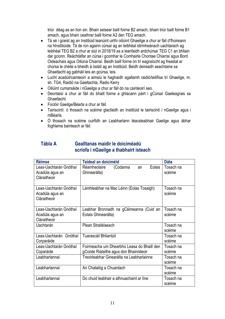triúr déag as an líon sin. Bhain seisear baill foirne B2 amach, bhain triúr baill foirne B1 amach, agus bhain ceathrar baill foirne A2 den TEG amach.

- Tá sé i gceist ag an Institiúid leanúint uirthi oiliúint Ghaeilge a chur ar fáil d'fhoireann na hInstitiúide. Tá de rún againn cúrsaí ag an leibhéal idirmheánach uachtarach ag leibhéal TEG B2 a chur ar siúl in 2018/19 as a leanfaidh ardchúrsaí TEG C1 an bhliain dar gcionn. Reáchtálfar an cúrsa i gcomhar le Comhairle Chontae Chiarraí agus Bord Oideachais agus Oiliúna Chiarraí. Beidh baill foirne ón trí eagraíocht ag freastal ar chúrsa le chéile a bheidh á óstáil ag an Institiúid. Beidh deireadh seachtaine sa Ghaeltacht ag gabháil leis an gcúrsa, leis.
- Lucht acadúil/cainteoirí a aimsiú le haghaidh agallamh raidió/teilifíse trí Ghaeilge, m. sh. TG4, Raidió na Gaeltachta, Radio Kerry
- Oiliúint cumarsáide i nGaeilge a chur ar fáil do na cainteoirí seo.
- Deontaisí a chur ar fáil do bhaill foirne a ghlacann páirt i gCúrsaí Gaeleagrais sa Ghaeltacht.
- Foclóir Gaeilge/Béarla a chur ar fáil.
- Tairiscintí: ó thosach na scéime glacfaidh an Institiúid le tairiscintí i nGaeilge agus i mBéarla.
- Ó thosach na scéime cuirfidh an Leabharlann téacsleabhair Gaeilge agus ábhar foghlama bainteach ar fáil.

### **Tábla A Gealltanas maidir le doiciméadú scríofa i nGaeilge a thabhairt isteach**

| <b>Réimse</b>                                             | <b>Teideal an doiciméid</b>                                                           | <b>Dáta</b>         |
|-----------------------------------------------------------|---------------------------------------------------------------------------------------|---------------------|
| Leas-Uachtarán Gnóthaí<br>Acadúla agus an<br>Cláraitheoir | Eolais<br>Réamheolaire<br>(Codanna<br>an<br>Ghinearálta)                              | Tosach na<br>scéime |
| Leas-Uachtarán Gnóthaí<br>Acadúla agus an<br>Cláraitheoir | Lámhleabhar na Mac Léinn (Eolas Tosaigh)                                              | Tosach na<br>scéime |
| Leas-Uachtarán Gnóthaí<br>Acadúla agus an<br>Cláraitheoir | Leabhar Bronnadh na gCéimeanna (Cuid an<br>Eolais Ghinearálta)                        | Tosach na<br>scéime |
| <b>Uachtarán</b>                                          | Plean Straitéiseach                                                                   | Tosach na<br>scéime |
| Leas-Uachtarán Gnóthaí<br>Corparáide                      | Tuarascáil Bhliantúil                                                                 | Tosach na<br>scéime |
| Leas-Uachtarán Gnóthaí<br>Coparáide                       | Foirmeacha um Dhearbhú Leasa do Bhaill den<br>gCoiste Rialaithe agus don Bhainisteoir | Tosach na<br>scéime |
| Leabharlannaí                                             | Treoirleabhar Ginearálta na Leabharlainne                                             | Tosach na<br>scéime |
| Leabharlannaí                                             | An Chatalóg a Chuardach                                                               | Tosach na<br>scéime |
| Leabharlannaí                                             | Do chuid leabhair a athnuachaint ar líne                                              | Tosach na<br>scéime |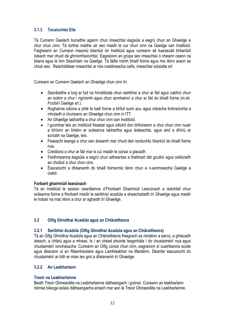### **3.1.3 Tacaíochtaí Eile**

Tá Cumann Gaelach bunaithe againn chun imeachtaí éagsúla a eagrú chun an Ghaeilge a chur chun cinn. Tá torthaí maithe air seo maidir le cur chun cinn na Gaeilge san Institiúid. Faigheann an Cumann maoiniú bliantúil ón Institiúid agus cuireann sé tuarascáil bhliantúil isteach mar chuid dá ghníomhaíochtaí. Eagraíonn an grúpa seo imeachtaí ó cheann ceann na bliana agus le linn Seachtain na Gaeilge. Tá fáilte roimh bhaill foirne agus mic léinn araon sa chlub seo. Reáchtáiltear imeachtaí ar nós maidineacha caife, imeachtaí sóisialta srl:

Cuireann an Cumann Gaelach an Ghaeilge chun cinn trí:

- Saorálaithe a lorg ar fud na hInstitiúide chun seirbhísí a chur ar fáil agus cabhrú chun an scéim a chur i ngníomh agus chun acmhainní a chur ar fáil do bhaill foirne (m.sh. Foclóirí Gaeilge srl.).
- Roghanna oiliúna a phlé le baill foirne a bhfuil suim acu agus cláracha forbraíochta a mholadh a chuireann an Ghaeilge chun cinn in ITT.
- An Ghaeilge labhartha a chur chun cinn san Institiúid.
- I gcomhar leis an Institiúid freastal agus oiliúint don bhfoireann a chur chun cinn nuair a bhíonn an bhéim ar scileanna labhartha agus éisteachta, agus aird a dhíriú ar scríobh na Gaeilge, leis.
- Feasacht teanga a chur san áireamh mar chuid den ionduchtú bliantúil do bhaill foirne nua.
- Creidiúnú a chur ar fáil mar is cuí maidir le cúrsaí a glacadh.
- Feidhmeanna éagsúla a eagrú chun aitheantas a thabhairt dár gcultúr agus ceiliúradh an chultúir a chur chun cinn.
- Éascaíocht a dhéanamh do bhaill foirne/mic léinn chun a n-ainmneacha Gaeilge a úsáid.

### **Forbairt ghairmiúil leanúnach**

Tá an Institiúid le seisiún ceardlainne d'Fhorbairt Ghairmiúil Leanúnach a reáchtáil chun scileanna foirne a fhorbairt maidir le seirbhísí acadúla a sheachadadh trí Ghaeilge agus maidir le hobair na mac léinn a chur ar aghaidh trí Ghaeilge.

### **3.2 Oifig Ghnóthaí Acadúla agus an Chláraitheora**

### **3.2.1 Seirbhísí Acadúla (Oifig Ghnóthaí Acadúla agus an Chláraitheora)**

Tá an Oifig Ghnóthaí Acadúla agus an Chláraitheora freagrach as micléinn a earcú, a ghlacadh isteach, a chlárú agus a mheas. Is í an chéad phointe teagmhála í do chustaiméirí nua agus chustaiméirí ionchasacha. Cuireann an Oifig cúrsaí chun cinn, eagraíonn sí cuairteanna scoile agus déanann sí an Réamheolaire agus Lámhleabhar na Macléinn. Déanfar éascaíocht do chustaiméirí ar bith ar mian leo gnó a dhéanamh trí Ghaeilge.

### **3.2.2 An Leabharlann**

### **Treoir na Leabharlainne**

Beidh Treoir Ghinearálta na Leabharlainne dátheangach i gcónaí. Cuireann an leabharlann réimse bileoga eolais dátheangacha amach mar aon le Treoir Ghinearálta na Leabharlainne.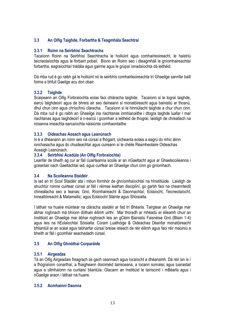### **3.3 An Oifig Taighde, Forbartha & Teagmhála Seachtraí**

### **3.3.1 Roinn na Seirbhísí Seachtracha**

Tacaíonn Roinn na Seirbhísí Seachtracha le hoiliúint agus comhairleoireacht, le haistriú teicneolaíochta agus le forbairt pobail. Bíonn an Roinn seo i dteagmháil le gníomhaireachtaí forbartha, eagraíochtaí trádála agus gairme agus le grúpaí ionadaíochta dá leithéid.

Dá mba rud é go raibh gá le hoiliúint nó le seirbhís comhairleoireachta trí Ghaeilge sannfar baill foirne a bhfuil Gaeilge acu don obair.

### **3.3.2 Taighde**

Scaipeann an Oifig Forbraíochta eolas faoi chláracha taighde. Tacaíonn sí le tograí taighde, earcú taighdeoirí agus de bhreis air seo deineann sí monatóireacht agus bainistiú ar thosnú, dhul chun cinn agus chríochnú cláracha. Tacaíonn sí le hinniúlacht taighde a chur chun cinn. Dá mba rud é go raibh an Ghaeilge ina riachtanas inmhianaithe i dtogra taighde luafar í mar riachtanas agus taighdeoirí á n-earcú i gcomhair a leithéid de thograí, laistigh de chreatlach na nósanna imeachta earcaíochta náisiúnta comhaontaithe

### **3.3.3 Oideachas Aosach agus Leanúnach**

Is é a dhéanann an roinn seo ná cúrsaí a fhógairt, oícheanta eolais a eagrú do mhic léinn ionchasacha agus do chuideachtaí agus cuireann sí le chéile Réamheolaire Oideachas Aosaigh Leanúnach.

### **3.3.4 Seirbhísí Acadúla (An Oifig Forbraíochta)**

Leanfar de bheith ag cur ar fáil cuairteanna scoile ar an nGaeltacht agus ar Ghaelscoileanna i gceantair nach Gaeltachtaí iad, agus cuirfear an Ghaeilge chun cinn go gníomhach.

### **3.4 Na Scoileanna Staidéir**

Is iad an trí Scoil Staidéir atá i mbun formhór de ghníomhaíochtaí na hInstitiúide. Laistigh de struchtúr roinne cuirtear cúrsaí ar fáil i réimse leathan disciplíní, go garbh faoi na cheannteidil chineálacha seo a leanas: Gnó, Ríomhaireacht & Daonnachtaí; Eolaíocht, Teicneolaíocht, Innealtóireacht & Matamaitic; agus Eolaíocht Sláinte agus Shóisialta.

I láthair na huaire múintear na cláracha staidéir ar fad trí Bhéarla. Tairgtear an Ghaeilge mar ábhar roghnach má bhíonn dóthain éilimh uirthi. Mar thoradh ar mhéadú ar éileamh chuir an Institiúid an Ghaeilge mar ábhar roghnach leis an gCéim Bainistiú Faisnéise Gnó (Bliain 1-4) agus leis na hEolaíochtaí Sóisialta: Cúram Luathóige & Oideachas Déanfar monatóireacht bhliantúil ar an scéal agus tabharfar cúrsaí breise isteach de réir éilimh agus faoi réir maoiniú a bheith ar fáil i gcomhair seachadadh cúrsaí.

### **3.5 An Oifig Ghnóthaí Corparáide**

### **3.5.1 Airgeadas**

Tá an Oifig Airgeadais freagrach as gach ceannach agus íocaíocht a dhéanamh. Dá réir sin is í a fhógraíonn conarthaí, a fhaigheann doiciméid tairisceana, a íocann sonraisc agus tuarastail agus a ullmhaíonn na cuntaisí bliantúla. Glacann an Institiúid le tairiscintí i mBéarla agus i nGaeilge araon i láthair na huaire.

### **3.5.2 Acmhainní Daonna**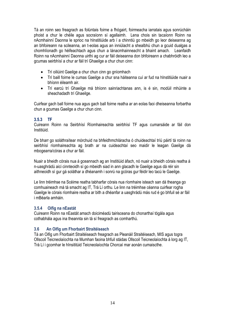Tá an roinn seo freagrach as folúntais foirne a fhógairt, foirmeacha iarratais agus sonrúcháin phoist a chur le chéile agus socraíonn sí agallaimh. Lena chois sin tacaíonn Roinn na nAcmhainní Daonna le sprioc na hInstitiúide arb í a chinntiú go mbeidh go leor deiseanna ag an bhfoireann na scileanna, an t-eolas agus an inniúlacht a shealbhú chun a gcuid dualgas a chomhlíonadh go héifeachtach agus chun a lánacmhainneacht a bhaint amach. Leanfaidh Roinn na nAcmhainní Daonna uirthi ag cur ar fáil deiseanna don bhfoireann a chabhróidh leo a gcumas seirbhísí a chur ar fáil trí Ghaeilge a chur chun cinn:

- Trí oiliúint Gaeilge a chur chun cinn go gníomhach
- Trí baill foirne le cumas Gaeilge a chur sna háiteanna cuí ar fud na hInstitiúide nuair a bhíonn éileamh air.
- Trí earcú trí Ghaeilge má bhíonn sainriachtanas ann, is é sin, modúil mhúinte a sheachadadh trí Ghaeilge.

Cuirfear gach ball foirne nua agus gach ball foirne reatha ar an eolas faoi dheiseanna forbartha chun a gcumas Gaeilge a chur chun cinn.

### **3.5.3 TF**

Cuireann Roinn na Seirbhísí Ríomhaireachta seirbhísí TF agus cumarsáide ar fáil don Institiúid.

De bharr go soláthraítear mórchuid na bhfeidhmchláracha ó chuideachtaí tríú páirtí tá roinn na seirbhísí ríomhaireachta ag brath ar na cuideachtaí seo maidir le leagan Gaeilge dá mbogearra/córas a chur ar fáil.

Nuair a bheidh córais nua á gceannach ag an Institiúid áfach, nó nuair a bheidh córais reatha á n-uasghrádú aici cinnteoidh sí go mbeidh siad in ann glacadh le Gaeilge agus dá réir sin aithneoidh sí gur gá soláthar a dhéanamh i sonrú na gcóras gur féidir leo tacú le Gaeilge.

Le linn tréimhse na Scéime reatha tabharfar córais nua ríomhaire isteach san dá theanga go comhuaineach má tá smacht ag IT, Trá Lí orthu. Le linn na tréimhse céanna cuirfear rogha Gaeilge le córais ríomhaire reatha ar bith a dhéanfar a uasghrádú más rud é go bhfuil sé ar fáil i mBéarla amháin.

### **3.5.4 Oifig na nEastát**

Cuireann Roinn na nEastát amach doiciméadú tairisceana do chonarthaí tógála agus cothabhála agus ina theannta sin tá sí freagrach as comharthú.

### **3.6 An Oifig um Fhorbairt Straitéiseach**

Tá an Oifig um Fhorbairt Straitéiseach freagrach as Pleanáil Straitéiseach, MIS agus togra Ollscoil Teicneolaíochta na Mumhan faoina bhfuil stádas Ollscoil Teicneolaíochta á lorg ag IT, Trá Lí i gcomhar le hInsititúid Teicneolaíochta Chorcaí mar aonán cumaiscthe.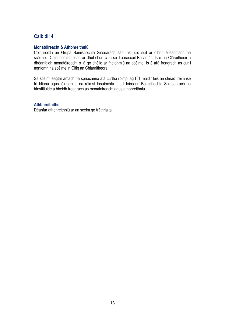### **Monatóireacht & Athbhreithniú**

Coinneoidh an Grúpa Bainistíochta Sinsearach san Institiúid súil ar oibriú éifeachtach na scéime. Coinneofar taifead ar dhul chun cinn sa Tuarascáil Bhliantúil. Is é an Cláraitheoir a dhéanfaidh monatóireacht ó lá go chéile ar fheidhmiú na scéime. Is é atá freagrach as cur i ngníomh na scéime in Oifig an Chláraitheora.

Sa scéim leagtar amach na spriocanna atá curtha roimpi ag ITT maidir leis an chéad tréimhse trí bliana agus léiríonn sí na réimsí tosaíochta. Is í foireann Bainistíochta Shinsearach na hInstitiúide a bheidh freagrach as monatóireacht agus athbhreithniú.

### **Athbhreithithe**

Déanfar athbhreithniú ar an scéim go tráthrialta.